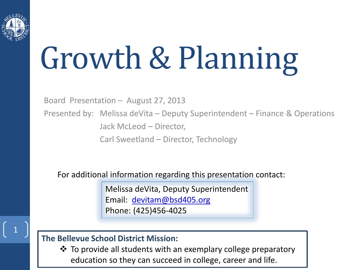

# Growth & Planning

Board Presentation – August 27, 2013

Presented by: Melissa deVita – Deputy Superintendent – Finance & Operations Jack McLeod – Director,

Carl Sweetland – Director, Technology

For additional information regarding this presentation contact:

Melissa deVita, Deputy Superintendent Email: [devitam@bsd405.org](mailto:devitam@bsd405.org) Phone: (425)456-4025

#### **The Bellevue School District Mission:**

 To provide all students with an exemplary college preparatory education so they can succeed in college, career and life.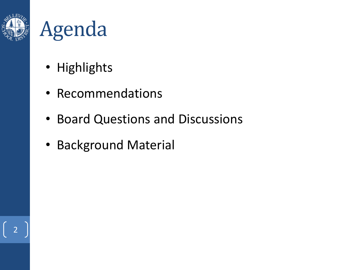



- Highlights
- Recommendations
- Board Questions and Discussions
- Background Material

2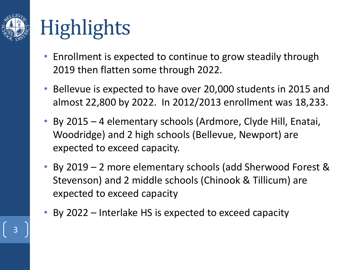

# **Highlights**

- Enrollment is expected to continue to grow steadily through 2019 then flatten some through 2022.
- Bellevue is expected to have over 20,000 students in 2015 and almost 22,800 by 2022. In 2012/2013 enrollment was 18,233.
- By 2015 4 elementary schools (Ardmore, Clyde Hill, Enatai, Woodridge) and 2 high schools (Bellevue, Newport) are expected to exceed capacity.
- By 2019 2 more elementary schools (add Sherwood Forest & Stevenson) and 2 middle schools (Chinook & Tillicum) are expected to exceed capacity
- By 2022 Interlake HS is expected to exceed capacity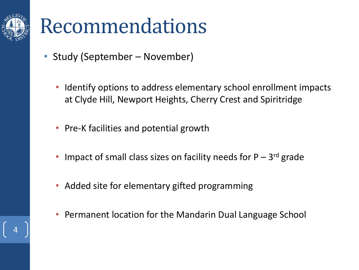

### Recommendations

- Study (September November)
	- Identify options to address elementary school enrollment impacts at Clyde Hill, Newport Heights, Cherry Crest and Spiritridge
	- Pre-K facilities and potential growth
	- Impact of small class sizes on facility needs for  $P 3^{rd}$  grade
	- Added site for elementary gifted programming
	- Permanent location for the Mandarin Dual Language School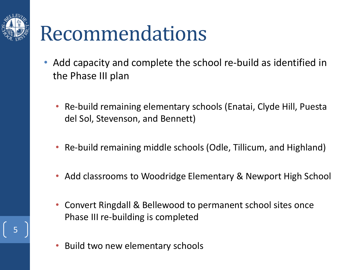

### Recommendations

- Add capacity and complete the school re-build as identified in the Phase III plan
	- Re-build remaining elementary schools (Enatai, Clyde Hill, Puesta del Sol, Stevenson, and Bennett)
	- Re-build remaining middle schools (Odle, Tillicum, and Highland)
	- Add classrooms to Woodridge Elementary & Newport High School
	- Convert Ringdall & Bellewood to permanent school sites once Phase III re-building is completed
	- Build two new elementary schools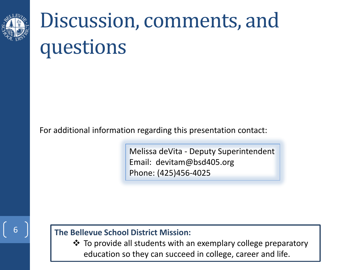

### Discussion, comments, and questions

For additional information regarding this presentation contact:

Melissa deVita - Deputy Superintendent Email: devitam@bsd405.org Phone: (425)456-4025

#### 6

#### **The Bellevue School District Mission:**

 To provide all students with an exemplary college preparatory education so they can succeed in college, career and life.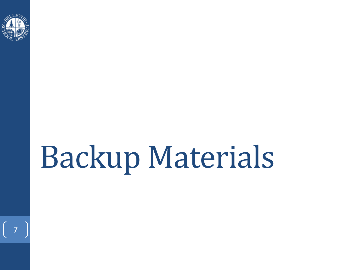

 $\begin{bmatrix} 7 \end{bmatrix}$ 

# Backup Materials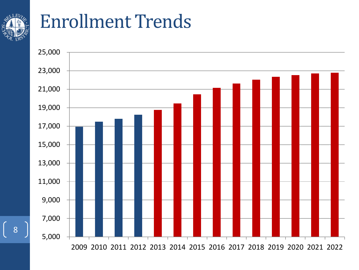

#### Enrollment Trends

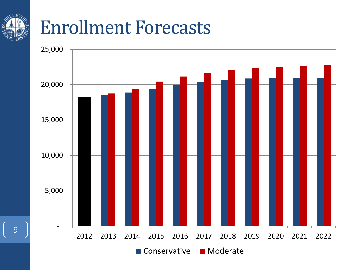#### Enrollment Forecasts

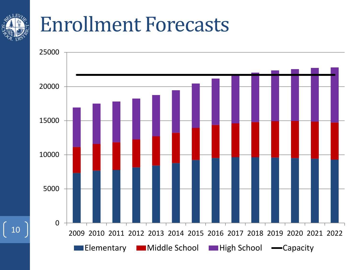### Enrollment Forecasts

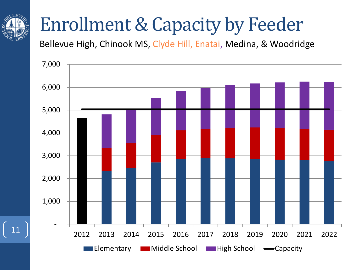#### Enrollment & Capacity by Feeder

Bellevue High, Chinook MS, Clyde Hill, Enatai, Medina, & Woodridge

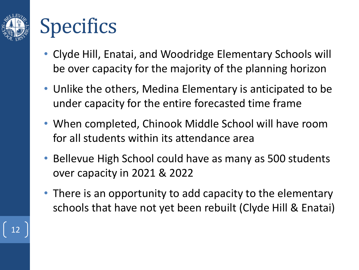

### **Specifics**

- Clyde Hill, Enatai, and Woodridge Elementary Schools will be over capacity for the majority of the planning horizon
- Unlike the others, Medina Elementary is anticipated to be under capacity for the entire forecasted time frame
- When completed, Chinook Middle School will have room for all students within its attendance area
- Bellevue High School could have as many as 500 students over capacity in 2021 & 2022
- There is an opportunity to add capacity to the elementary schools that have not yet been rebuilt (Clyde Hill & Enatai)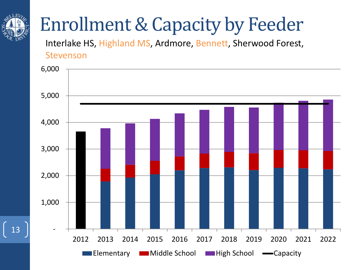

### Enrollment & Capacity by Feeder

Interlake HS, Highland MS, Ardmore, Bennett, Sherwood Forest, Stevenson

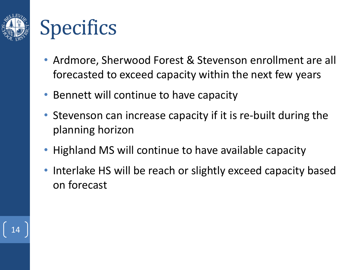

### **Specifics**

- Ardmore, Sherwood Forest & Stevenson enrollment are all forecasted to exceed capacity within the next few years
- Bennett will continue to have capacity
- Stevenson can increase capacity if it is re-built during the planning horizon
- Highland MS will continue to have available capacity
- Interlake HS will be reach or slightly exceed capacity based on forecast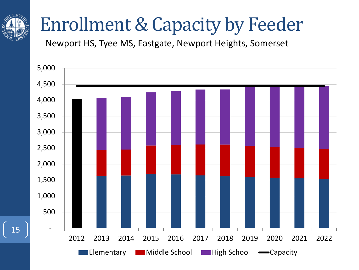

#### Enrollment & Capacity by Feeder

Newport HS, Tyee MS, Eastgate, Newport Heights, Somerset

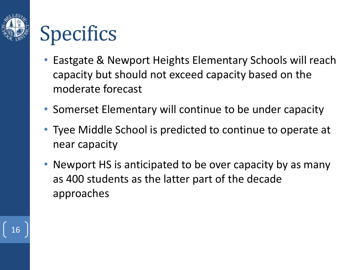

## **Specifics**

- Eastgate & Newport Heights Elementary Schools will reach capacity but should not exceed capacity based on the moderate forecast
- Somerset Elementary will continue to be under capacity
- Tyee Middle School is predicted to continue to operate at near capacity
- Newport HS is anticipated to be over capacity by as many as 400 students as the latter part of the decade approaches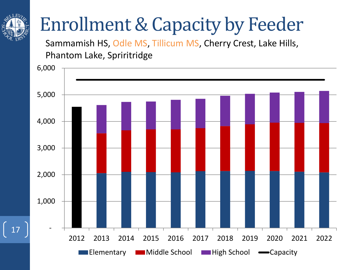#### Enrollment & Capacity by Feeder

Sammamish HS, Odle MS, Tillicum MS, Cherry Crest, Lake Hills, Phantom Lake, Spriritridge

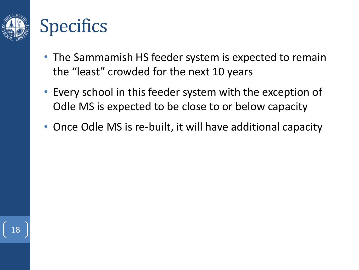

#### **Specifics**

- The Sammamish HS feeder system is expected to remain the "least" crowded for the next 10 years
- Every school in this feeder system with the exception of Odle MS is expected to be close to or below capacity
- Once Odle MS is re-built, it will have additional capacity

18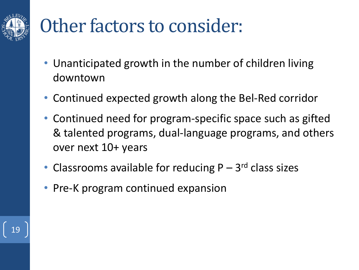

### Other factors to consider:

- Unanticipated growth in the number of children living downtown
- Continued expected growth along the Bel-Red corridor
- Continued need for program-specific space such as gifted & talented programs, dual-language programs, and others over next 10+ years
- Classrooms available for reducing  $P 3<sup>rd</sup>$  class sizes
- Pre-K program continued expansion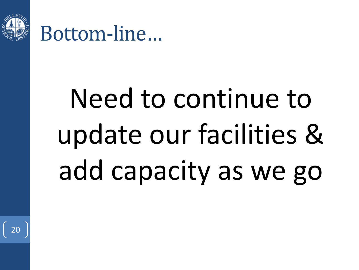

Bottom-line…

# Need to continue to update our facilities & add capacity as we go

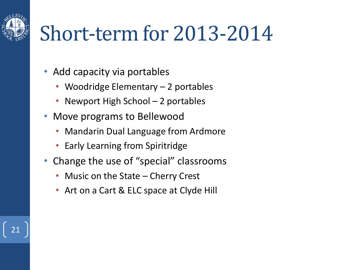## Short-term for 2013-2014

- Add capacity via portables
	- Woodridge Elementary 2 portables
	- Newport High School 2 portables
- Move programs to Bellewood

- Mandarin Dual Language from Ardmore
- Early Learning from Spiritridge
- Change the use of "special" classrooms
	- Music on the State Cherry Crest
	- Art on a Cart & ELC space at Clyde Hill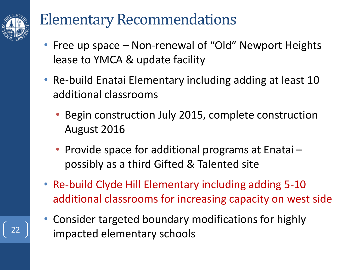

#### Elementary Recommendations

- Free up space Non-renewal of "Old" Newport Heights lease to YMCA & update facility
- Re-build Enatai Elementary including adding at least 10 additional classrooms
	- Begin construction July 2015, complete construction August 2016
	- Provide space for additional programs at Enatai possibly as a third Gifted & Talented site
- Re-build Clyde Hill Elementary including adding 5-10 additional classrooms for increasing capacity on west side
- Consider targeted boundary modifications for highly  $\left| \begin{array}{c} 22 \\ 22 \end{array} \right|$  impacted elementary schools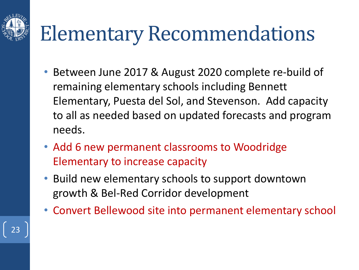# Elementary Recommendations

- Between June 2017 & August 2020 complete re-build of remaining elementary schools including Bennett Elementary, Puesta del Sol, and Stevenson. Add capacity to all as needed based on updated forecasts and program needs.
- Add 6 new permanent classrooms to Woodridge Elementary to increase capacity

- Build new elementary schools to support downtown growth & Bel-Red Corridor development
- Convert Bellewood site into permanent elementary school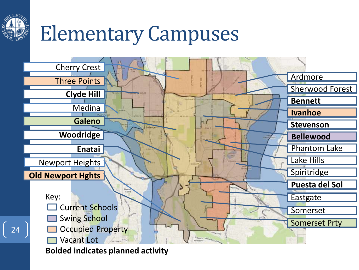

# Elementary Campuses



**Bolded indicates planned activity**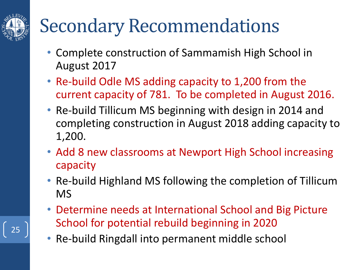### Secondary Recommendations

- Complete construction of Sammamish High School in August 2017
- Re-build Odle MS adding capacity to 1,200 from the current capacity of 781. To be completed in August 2016.
- Re-build Tillicum MS beginning with design in 2014 and completing construction in August 2018 adding capacity to 1,200.
- Add 8 new classrooms at Newport High School increasing capacity
- Re-build Highland MS following the completion of Tillicum MS
- Determine needs at International School and Big Picture School for potential rebuild beginning in 2020
- Re-build Ringdall into permanent middle school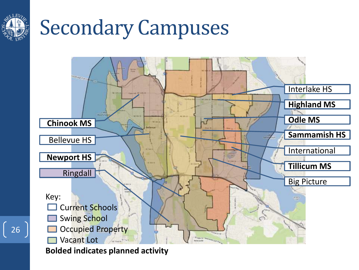

## Secondary Campuses



**Bolded indicates planned activity**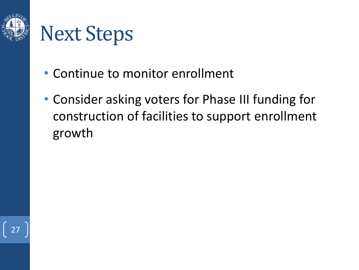

### Next Steps

- Continue to monitor enrollment
- Consider asking voters for Phase III funding for construction of facilities to support enrollment growth

27